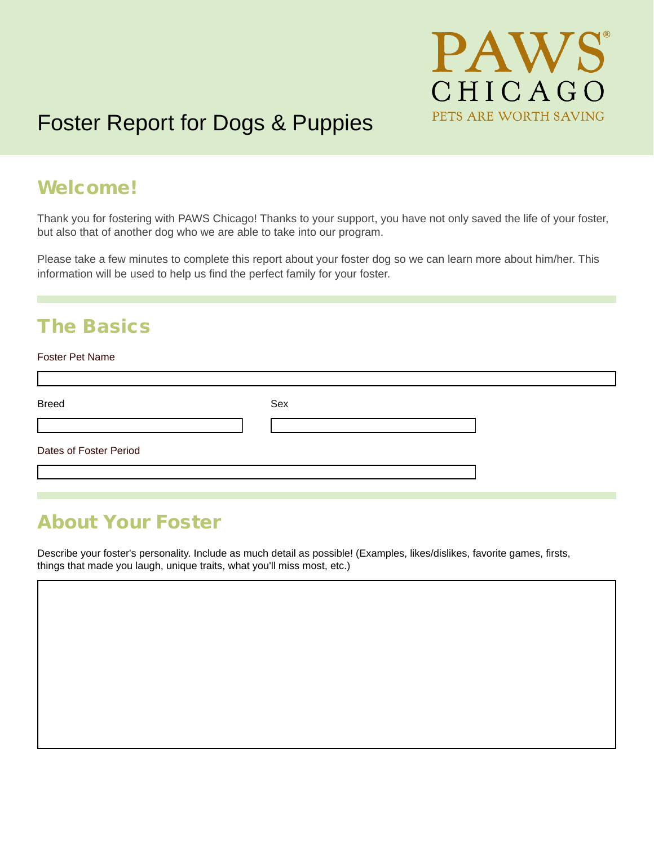

# Foster Report for Dogs & Puppies

### Welcome!

Thank you for fostering with PAWS Chicago! Thanks to your support, you have not only saved the life of your foster, but also that of another dog who we are able to take into our program.

Please take a few minutes to complete this report about your foster dog so we can learn more about him/her. This information will be used to help us find the perfect family for your foster.

### The Basics

#### Foster Pet Name

г

| <b>Breed</b>           | Sex |  |
|------------------------|-----|--|
|                        |     |  |
| Dates of Foster Period |     |  |
|                        |     |  |

### About Your Foster

Describe your foster's personality. Include as much detail as possible! (Examples, likes/dislikes, favorite games, firsts, things that made you laugh, unique traits, what you'll miss most, etc.)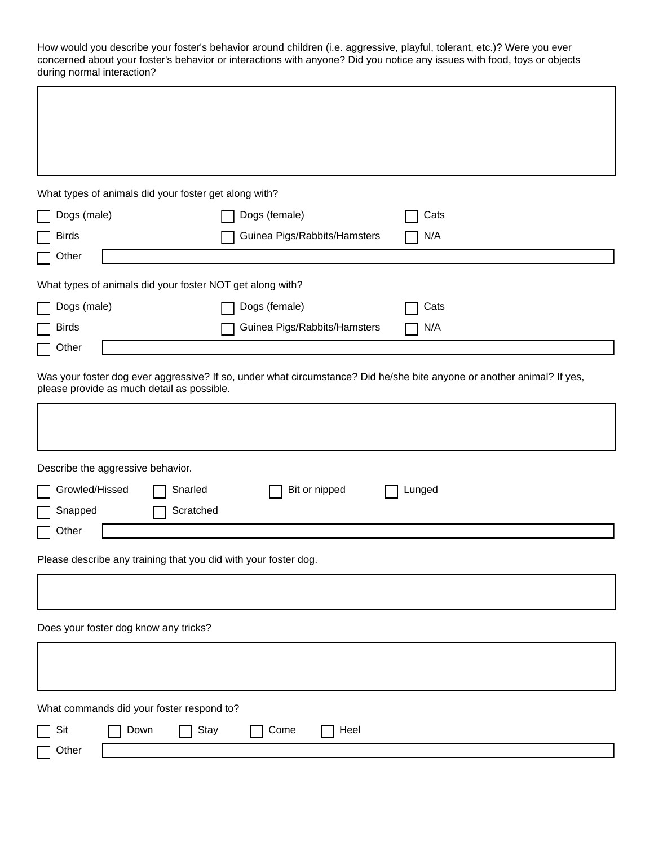How would you describe your foster's behavior around children (i.e. aggressive, playful, tolerant, etc.)? Were you ever concerned about your foster's behavior or interactions with anyone? Did you notice any issues with food, toys or objects during normal interaction?

| What types of animals did your foster get along with?           |                              |                                                                                                                        |
|-----------------------------------------------------------------|------------------------------|------------------------------------------------------------------------------------------------------------------------|
| Dogs (male)                                                     | Dogs (female)                | Cats                                                                                                                   |
| <b>Birds</b>                                                    | Guinea Pigs/Rabbits/Hamsters | N/A                                                                                                                    |
|                                                                 |                              |                                                                                                                        |
| Other                                                           |                              |                                                                                                                        |
| What types of animals did your foster NOT get along with?       |                              |                                                                                                                        |
| Dogs (male)                                                     | Dogs (female)                | Cats                                                                                                                   |
| <b>Birds</b>                                                    | Guinea Pigs/Rabbits/Hamsters | N/A                                                                                                                    |
| Other                                                           |                              |                                                                                                                        |
| please provide as much detail as possible.                      |                              | Was your foster dog ever aggressive? If so, under what circumstance? Did he/she bite anyone or another animal? If yes, |
|                                                                 |                              |                                                                                                                        |
| Describe the aggressive behavior.                               |                              |                                                                                                                        |
| Growled/Hissed<br>Snarled                                       | Bit or nipped                | Lunged                                                                                                                 |
| Scratched<br>Snapped                                            |                              |                                                                                                                        |
| Other                                                           |                              |                                                                                                                        |
| Please describe any training that you did with your foster dog. |                              |                                                                                                                        |
|                                                                 |                              |                                                                                                                        |
| Does your foster dog know any tricks?                           |                              |                                                                                                                        |
|                                                                 |                              |                                                                                                                        |
| What commands did your foster respond to?                       |                              |                                                                                                                        |
| Sit<br>Down<br>Stay                                             | Heel<br>Come                 |                                                                                                                        |
| Other                                                           |                              |                                                                                                                        |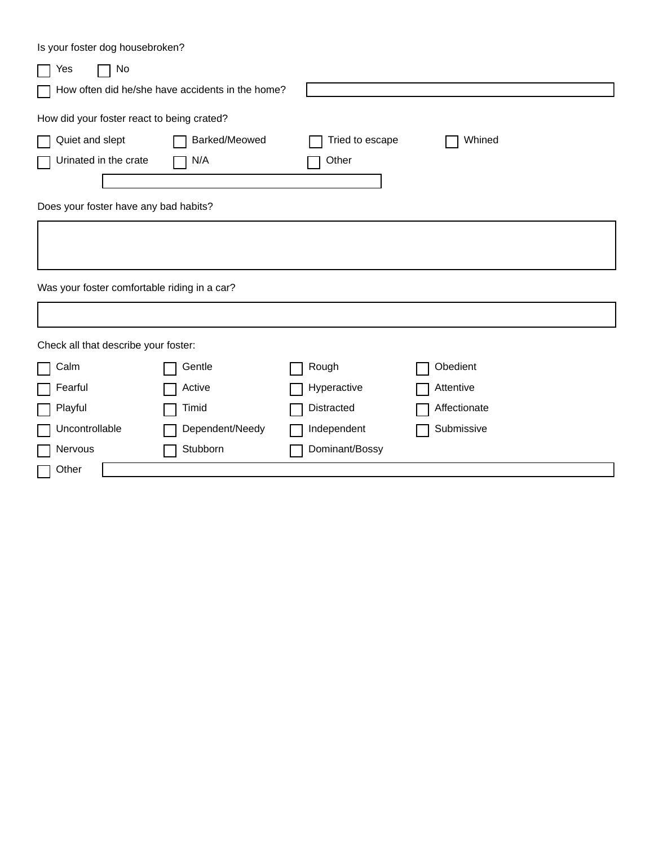| Is your foster dog housebroken?              |                                                  |                 |              |  |
|----------------------------------------------|--------------------------------------------------|-----------------|--------------|--|
| No<br>Yes                                    |                                                  |                 |              |  |
|                                              | How often did he/she have accidents in the home? |                 |              |  |
| How did your foster react to being crated?   |                                                  |                 |              |  |
| Quiet and slept                              | Barked/Meowed                                    | Tried to escape | Whined       |  |
| Urinated in the crate                        | N/A                                              | Other           |              |  |
|                                              |                                                  |                 |              |  |
| Does your foster have any bad habits?        |                                                  |                 |              |  |
|                                              |                                                  |                 |              |  |
|                                              |                                                  |                 |              |  |
| Was your foster comfortable riding in a car? |                                                  |                 |              |  |
|                                              |                                                  |                 |              |  |
| Check all that describe your foster:         |                                                  |                 |              |  |
| Calm                                         | Gentle                                           | Rough           | Obedient     |  |
| Fearful                                      | Active                                           | Hyperactive     | Attentive    |  |
| Playful                                      | Timid                                            | Distracted      | Affectionate |  |
| Uncontrollable                               | Dependent/Needy                                  | Independent     | Submissive   |  |
| Nervous                                      | Stubborn                                         | Dominant/Bossy  |              |  |
| Other                                        |                                                  |                 |              |  |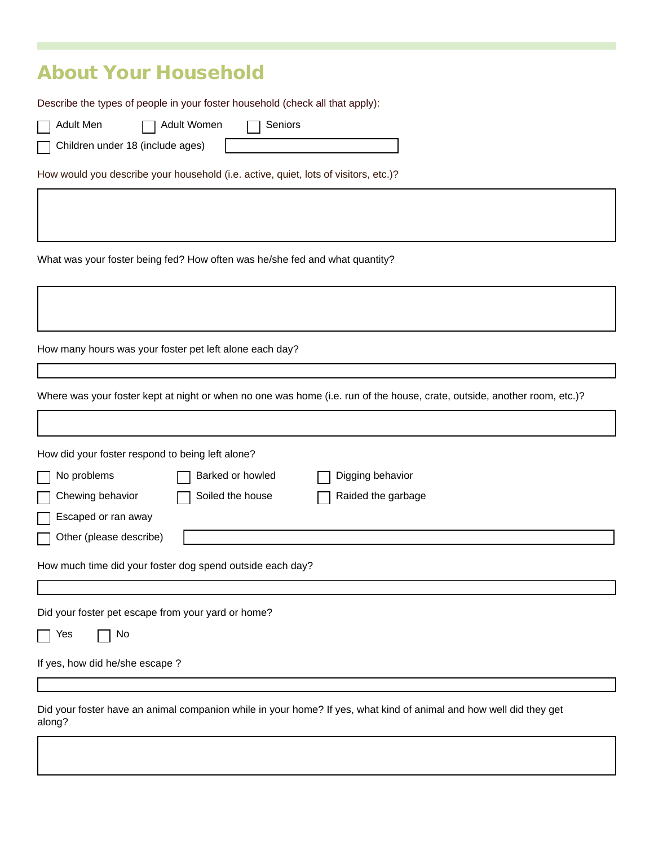### About Your Household

Describe the types of people in your foster household (check all that apply):

Adult Men **Reserve Adult Women Reserve Seniors** 

 $\mathsf{I}$ 

Children under 18 (include ages)

How would you describe your household (i.e. active, quiet, lots of visitors, etc.)?

What was your foster being fed? How often was he/she fed and what quantity?

How many hours was your foster pet left alone each day?

Where was your foster kept at night or when no one was home (i.e. run of the house, crate, outside, another room, etc.)?

| How did your foster respond to being left alone?          |                  |                                                                                                                    |
|-----------------------------------------------------------|------------------|--------------------------------------------------------------------------------------------------------------------|
| No problems                                               | Barked or howled | Digging behavior                                                                                                   |
| Chewing behavior                                          | Soiled the house | Raided the garbage                                                                                                 |
| Escaped or ran away                                       |                  |                                                                                                                    |
| Other (please describe)                                   |                  |                                                                                                                    |
| How much time did your foster dog spend outside each day? |                  |                                                                                                                    |
|                                                           |                  |                                                                                                                    |
| Did your foster pet escape from your yard or home?        |                  |                                                                                                                    |
| No.<br>Yes                                                |                  |                                                                                                                    |
| If yes, how did he/she escape?                            |                  |                                                                                                                    |
|                                                           |                  |                                                                                                                    |
| along?                                                    |                  | Did your foster have an animal companion while in your home? If yes, what kind of animal and how well did they get |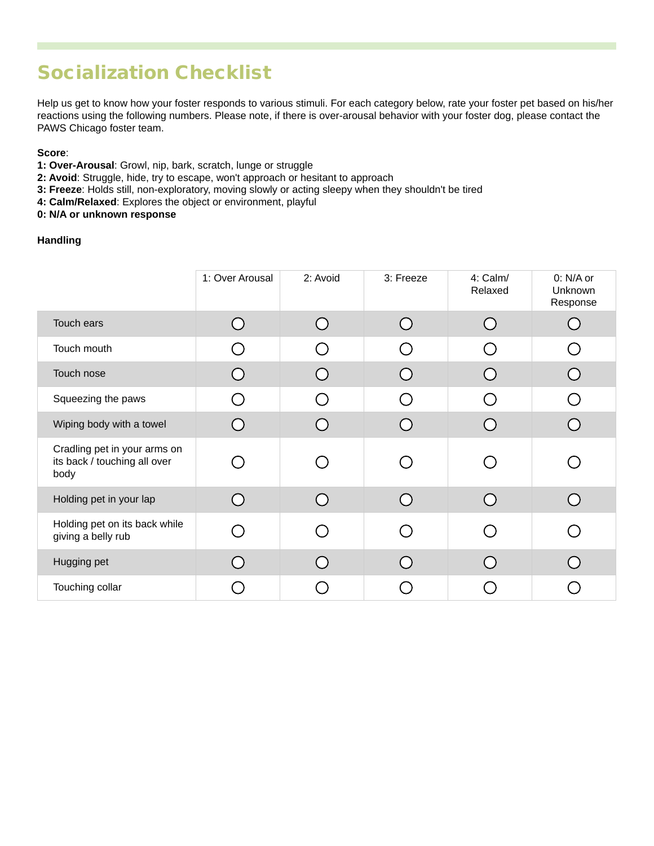## Socialization Checklist

Help us get to know how your foster responds to various stimuli. For each category below, rate your foster pet based on his/her reactions using the following numbers. Please note, if there is over-arousal behavior with your foster dog, please contact the PAWS Chicago foster team.

#### **Score**:

- **1: Over-Arousal**: Growl, nip, bark, scratch, lunge or struggle
- **2: Avoid**: Struggle, hide, try to escape, won't approach or hesitant to approach
- **3: Freeze**: Holds still, non-exploratory, moving slowly or acting sleepy when they shouldn't be tired
- **4: Calm/Relaxed**: Explores the object or environment, playful
- **0: N/A or unknown response**

#### **Handling**

|                                                                      | 1: Over Arousal                               | 2: Avoid                                    | 3: Freeze | 4: Calm/<br>Relaxed | 0: N/A or<br>Unknown<br>Response |
|----------------------------------------------------------------------|-----------------------------------------------|---------------------------------------------|-----------|---------------------|----------------------------------|
| Touch ears                                                           | $\left( \begin{array}{c} \end{array} \right)$ | ( `                                         | $($ )     | ( )                 |                                  |
| Touch mouth                                                          | $\left( \begin{array}{c} \end{array} \right)$ |                                             |           |                     |                                  |
| Touch nose                                                           |                                               |                                             |           |                     |                                  |
| Squeezing the paws                                                   | ( )                                           | $\overline{\phantom{a}}$                    | (  )      |                     |                                  |
| Wiping body with a towel                                             |                                               | $\left(\begin{array}{c} \end{array}\right)$ |           |                     |                                  |
| Cradling pet in your arms on<br>its back / touching all over<br>body |                                               | $\overline{\phantom{a}}$                    |           |                     |                                  |
| Holding pet in your lap                                              |                                               | $\overline{\phantom{0}}$                    |           |                     |                                  |
| Holding pet on its back while<br>giving a belly rub                  |                                               |                                             |           |                     |                                  |
| Hugging pet                                                          |                                               |                                             |           |                     |                                  |
| Touching collar                                                      |                                               |                                             |           |                     |                                  |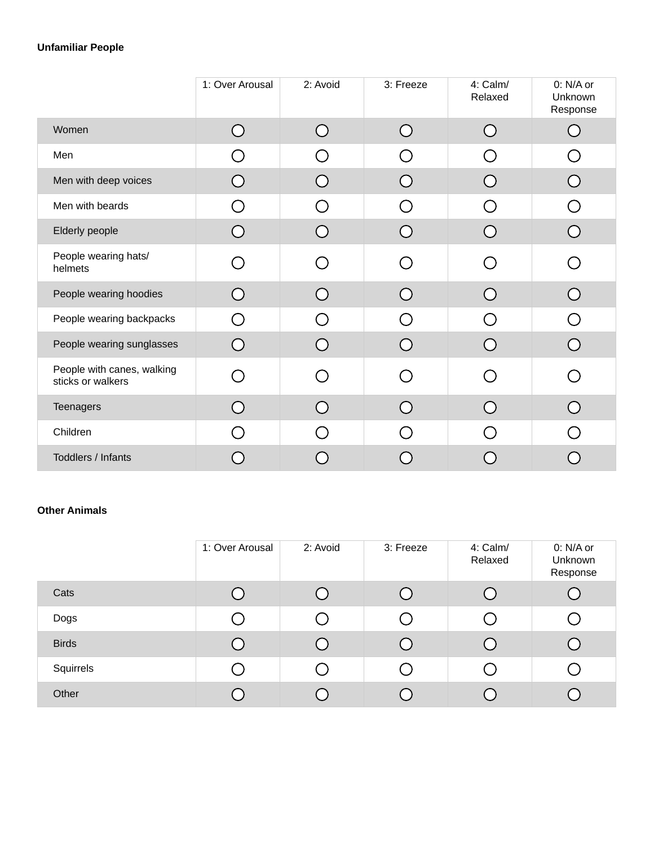#### **Unfamiliar People**

|                                                 | 1: Over Arousal                               | 2: Avoid                                      | 3: Freeze                                     | 4: Calm/<br>Relaxed                             | 0: N/A or<br>Unknown<br>Response                            |
|-------------------------------------------------|-----------------------------------------------|-----------------------------------------------|-----------------------------------------------|-------------------------------------------------|-------------------------------------------------------------|
| Women                                           | O                                             | $\bigcirc$                                    | ◯                                             | ( )                                             | $\left(\begin{array}{c} 1 \end{array}\right)$               |
| Men                                             | ◯                                             | ⌒                                             | $\left(\begin{array}{c} \end{array}\right)$   |                                                 | $\left(\begin{array}{c} \end{array}\right)$                 |
| Men with deep voices                            |                                               |                                               | ( )                                           |                                                 |                                                             |
| Men with beards                                 | ∩                                             | ∩                                             | ⌒                                             | $\left( \begin{array}{c} \end{array} \right)$   | ◯                                                           |
| Elderly people                                  | $\left( \begin{array}{c} \end{array} \right)$ | $\left( \begin{array}{c} \end{array} \right)$ | ( )                                           |                                                 | $\left( \begin{array}{c} \end{array} \right)$               |
| People wearing hats/<br>helmets                 | ⌒                                             | ◯                                             | ⌒                                             | $\left( \begin{array}{c} 1 \end{array} \right)$ | $\left(\begin{smallmatrix} 1 \\ 1 \end{smallmatrix}\right)$ |
| People wearing hoodies                          | . .                                           |                                               | $\left( \begin{array}{c} \end{array} \right)$ |                                                 | $\left(\begin{array}{c} \end{array}\right)$                 |
| People wearing backpacks                        | ∩                                             | ( )                                           | ∩                                             | $\Box$                                          | ∩                                                           |
| People wearing sunglasses                       | Ω                                             | Ω                                             |                                               |                                                 |                                                             |
| People with canes, walking<br>sticks or walkers | ⌒                                             | ⌒                                             | ( )                                           |                                                 | ( )                                                         |
| Teenagers                                       |                                               |                                               |                                               |                                                 |                                                             |
| Children                                        | $\overline{\phantom{0}}$                      | ( )                                           | ◯                                             |                                                 |                                                             |
| Toddlers / Infants                              |                                               |                                               |                                               |                                                 |                                                             |

#### **Other Animals**

|              | 1: Over Arousal | 2: Avoid | 3: Freeze | 4: Calm/<br>Relaxed                         | 0: N/A or<br>Unknown<br>Response |
|--------------|-----------------|----------|-----------|---------------------------------------------|----------------------------------|
| Cats         |                 |          |           |                                             |                                  |
| Dogs         |                 |          |           | $\mathbf{r}$                                |                                  |
| <b>Birds</b> |                 |          |           |                                             |                                  |
| Squirrels    |                 |          |           | $\left(\begin{array}{c} \end{array}\right)$ |                                  |
| Other        |                 |          |           |                                             |                                  |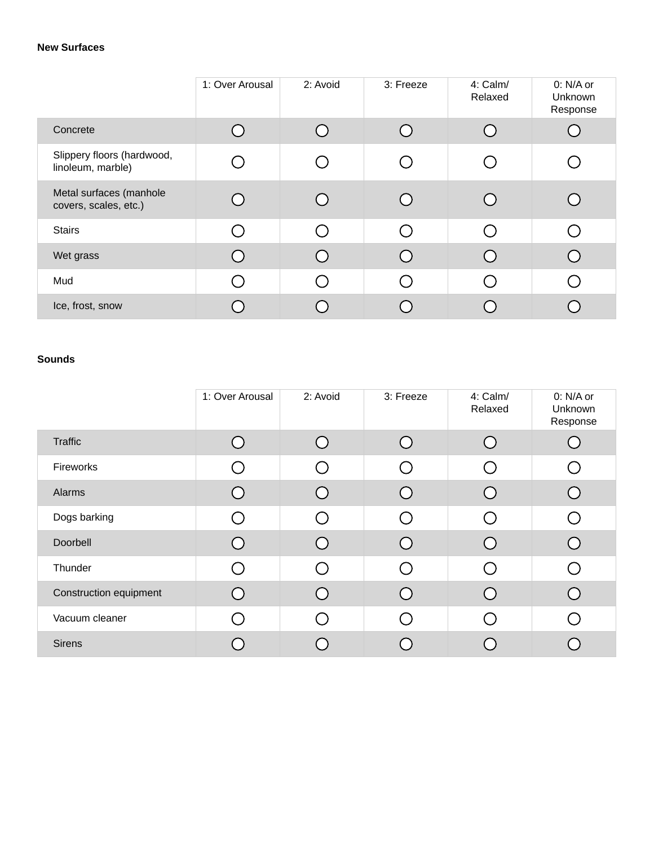#### **New Surfaces**

|                                                  | 1: Over Arousal | 2: Avoid      | 3: Freeze | 4: Calm/<br>Relaxed | 0: N/A or<br><b>Unknown</b><br>Response |
|--------------------------------------------------|-----------------|---------------|-----------|---------------------|-----------------------------------------|
| Concrete                                         |                 | $\subset$     |           | ( )                 |                                         |
| Slippery floors (hardwood,<br>linoleum, marble)  |                 | ◯             |           |                     |                                         |
| Metal surfaces (manhole<br>covers, scales, etc.) |                 |               |           |                     |                                         |
| <b>Stairs</b>                                    |                 | ◯             |           |                     |                                         |
| Wet grass                                        |                 | $\mathcal{L}$ |           |                     |                                         |
| Mud                                              |                 | ∩             |           |                     |                                         |
| Ice, frost, snow                                 |                 |               |           |                     |                                         |

#### **Sounds**

|                        | 1: Over Arousal | 2: Avoid                                    | 3: Freeze | 4: Calm/<br>Relaxed | 0: N/A or<br>Unknown<br>Response |
|------------------------|-----------------|---------------------------------------------|-----------|---------------------|----------------------------------|
| Traffic                |                 | $\cap$                                      |           |                     |                                  |
| Fireworks              |                 | ( )                                         |           |                     |                                  |
| Alarms                 |                 | ( `                                         |           |                     |                                  |
| Dogs barking           |                 | $\left(\begin{array}{c} \end{array}\right)$ |           |                     |                                  |
| Doorbell               |                 | ( `                                         |           |                     |                                  |
| Thunder                |                 | $\left(\begin{array}{c} \end{array}\right)$ |           |                     |                                  |
| Construction equipment |                 | Г.                                          |           |                     |                                  |
| Vacuum cleaner         |                 | $\bigcap$                                   |           |                     |                                  |
| <b>Sirens</b>          |                 |                                             |           |                     |                                  |